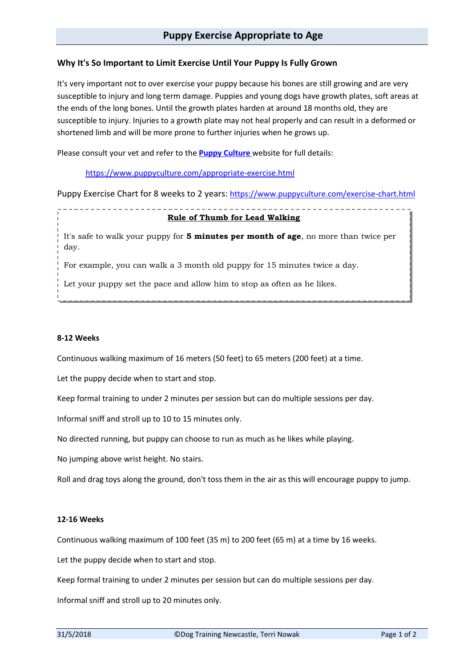# **Why It's So Important to Limit Exercise Until Your Puppy Is Fully Grown**

It's very important not to over exercise your puppy because his bones are still growing and are very susceptible to injury and long term damage. Puppies and young dogs have growth plates, soft areas at the ends of the long bones. Until the growth plates harden at around 18 months old, they are susceptible to injury. Injuries to a growth plate may not heal properly and can result in a deformed or shortened limb and will be more prone to further injuries when he grows up.

Please consult your vet and refer to the **[Puppy Culture](https://www.puppyculture.com/)** website for full details:

<https://www.puppyculture.com/appropriate-exercise.html>

Puppy Exercise Chart for 8 weeks to 2 years: <https://www.puppyculture.com/exercise-chart.html>

# **Rule of Thumb for Lead Walking**

It's safe to walk your puppy for **5 minutes per month of age**, no more than twice per day.

For example, you can walk a 3 month old puppy for 15 minutes twice a day.

Let your puppy set the pace and allow him to stop as often as he likes.

### **8-12 Weeks**

Continuous walking maximum of 16 meters (50 feet) to 65 meters (200 feet) at a time.

Let the puppy decide when to start and stop.

Keep formal training to under 2 minutes per session but can do multiple sessions per day.

Informal sniff and stroll up to 10 to 15 minutes only.

No directed running, but puppy can choose to run as much as he likes while playing.

No jumping above wrist height. No stairs.

Roll and drag toys along the ground, don't toss them in the air as this will encourage puppy to jump.

#### **12-16 Weeks**

Continuous walking maximum of 100 feet (35 m) to 200 feet (65 m) at a time by 16 weeks.

Let the puppy decide when to start and stop.

Keep formal training to under 2 minutes per session but can do multiple sessions per day.

Informal sniff and stroll up to 20 minutes only.